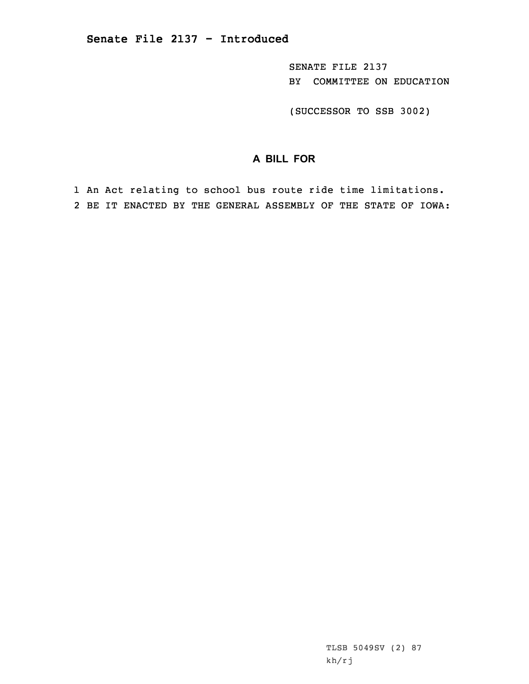SENATE FILE 2137 BY COMMITTEE ON EDUCATION

(SUCCESSOR TO SSB 3002)

## **A BILL FOR**

1 An Act relating to school bus route ride time limitations. 2 BE IT ENACTED BY THE GENERAL ASSEMBLY OF THE STATE OF IOWA:

> TLSB 5049SV (2) 87 kh/rj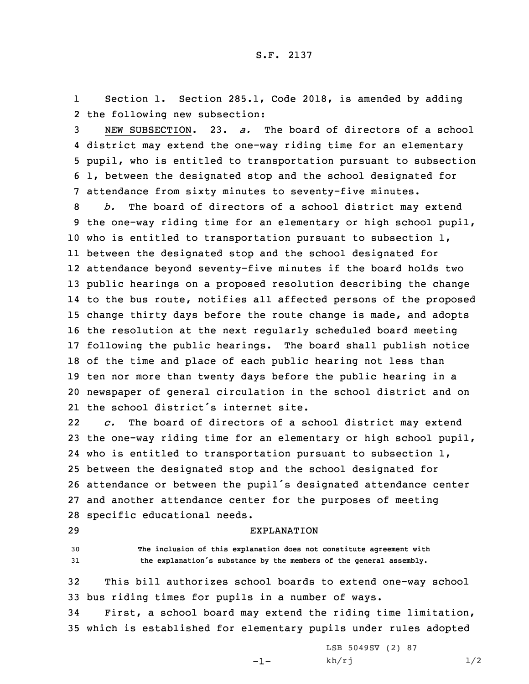1 Section 1. Section 285.1, Code 2018, is amended by adding 2 the following new subsection:

 NEW SUBSECTION. 23. *a.* The board of directors of <sup>a</sup> school district may extend the one-way riding time for an elementary pupil, who is entitled to transportation pursuant to subsection 1, between the designated stop and the school designated for attendance from sixty minutes to seventy-five minutes.

 *b.* The board of directors of <sup>a</sup> school district may extend the one-way riding time for an elementary or high school pupil, who is entitled to transportation pursuant to subsection 1, between the designated stop and the school designated for attendance beyond seventy-five minutes if the board holds two public hearings on <sup>a</sup> proposed resolution describing the change to the bus route, notifies all affected persons of the proposed change thirty days before the route change is made, and adopts the resolution at the next regularly scheduled board meeting following the public hearings. The board shall publish notice of the time and place of each public hearing not less than ten nor more than twenty days before the public hearing in <sup>a</sup> newspaper of general circulation in the school district and on the school district's internet site.

22 *c.* The board of directors of <sup>a</sup> school district may extend the one-way riding time for an elementary or high school pupil, who is entitled to transportation pursuant to subsection 1, between the designated stop and the school designated for attendance or between the pupil's designated attendance center and another attendance center for the purposes of meeting specific educational needs.

## 29 EXPLANATION

30 **The inclusion of this explanation does not constitute agreement with** <sup>31</sup> **the explanation's substance by the members of the general assembly.**

32 This bill authorizes school boards to extend one-way school 33 bus riding times for pupils in <sup>a</sup> number of ways.

34 First, <sup>a</sup> school board may extend the riding time limitation, 35 which is established for elementary pupils under rules adopted

-1-

LSB 5049SV (2) 87  $kh/rj$  1/2